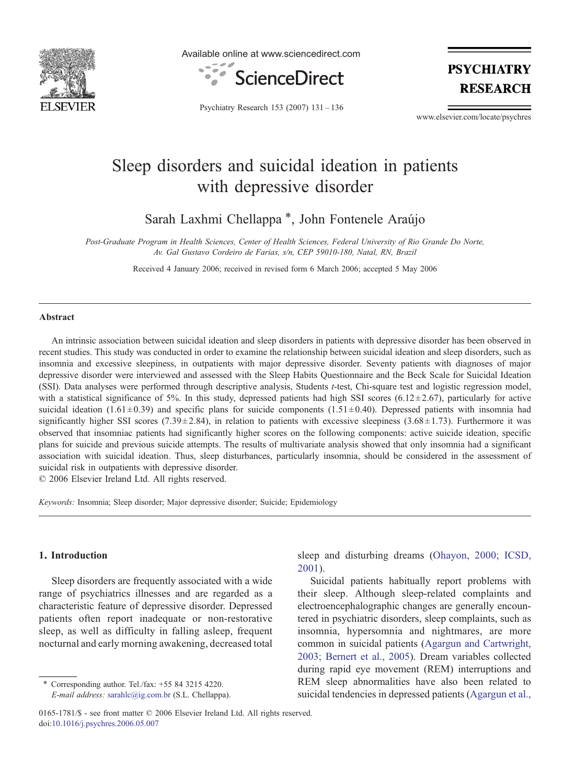

Available online at www.sciencedirect.com



**PSYCHIATRY RESEARCH** 

Psychiatry Research 153 (2007) 131–136

www.elsevier.com/locate/psychres

# Sleep disorders and suicidal ideation in patients with depressive disorder

Sarah Laxhmi Chellappa<sup>\*</sup>, John Fontenele Araújo

Post-Graduate Program in Health Sciences, Center of Health Sciences, Federal University of Rio Grande Do Norte, Av. Gal Gustavo Cordeiro de Farias, s/n, CEP 59010-180, Natal, RN, Brazil

Received 4 January 2006; received in revised form 6 March 2006; accepted 5 May 2006

#### Abstract

An intrinsic association between suicidal ideation and sleep disorders in patients with depressive disorder has been observed in recent studies. This study was conducted in order to examine the relationship between suicidal ideation and sleep disorders, such as insomnia and excessive sleepiness, in outpatients with major depressive disorder. Seventy patients with diagnoses of major depressive disorder were interviewed and assessed with the Sleep Habits Questionnaire and the Beck Scale for Suicidal Ideation (SSI). Data analyses were performed through descriptive analysis, Students t-test, Chi-square test and logistic regression model, with a statistical significance of 5%. In this study, depressed patients had high SSI scores (6.12 $\pm$ 2.67), particularly for active suicidal ideation (1.61 $\pm$ 0.39) and specific plans for suicide components (1.51 $\pm$ 0.40). Depressed patients with insomnia had significantly higher SSI scores (7.39 $\pm$ 2.84), in relation to patients with excessive sleepiness (3.68 $\pm$ 1.73). Furthermore it was observed that insomniac patients had significantly higher scores on the following components: active suicide ideation, specific plans for suicide and previous suicide attempts. The results of multivariate analysis showed that only insomnia had a significant association with suicidal ideation. Thus, sleep disturbances, particularly insomnia, should be considered in the assessment of suicidal risk in outpatients with depressive disorder.

© 2006 Elsevier Ireland Ltd. All rights reserved.

Keywords: Insomnia; Sleep disorder; Major depressive disorder; Suicide; Epidemiology

# 1. Introduction

Sleep disorders are frequently associated with a wide range of psychiatrics illnesses and are regarded as a characteristic feature of depressive disorder. Depressed patients often report inadequate or non-restorative sleep, as well as difficulty in falling asleep, frequent nocturnal and early morning awakening, decreased total

sleep and disturbing dreams [\(Ohayon, 2000; ICSD,](#page--1-0) [2001](#page--1-0)).

Suicidal patients habitually report problems with their sleep. Although sleep-related complaints and electroencephalographic changes are generally encountered in psychiatric disorders, sleep complaints, such as insomnia, hypersomnia and nightmares, are more common in suicidal patients [\(Agargun and Cartwright,](#page--1-0) [2003; Bernert et al., 2005](#page--1-0)). Dream variables collected during rapid eye movement (REM) interruptions and REM sleep abnormalities have also been related to suicidal tendencies in depressed patients [\(Agargun et al.,](#page--1-0)

<sup>⁎</sup> Corresponding author. Tel./fax: +55 84 3215 4220. E-mail address: [sarahlc@ig.com.br](mailto:sarahlc@ig.com.br) (S.L. Chellappa).

<sup>0165-1781/\$ -</sup> see front matter © 2006 Elsevier Ireland Ltd. All rights reserved. doi[:10.1016/j.psychres.2006.05.007](http://dx.doi.org/10.1016/j.psychres.2006.05.007)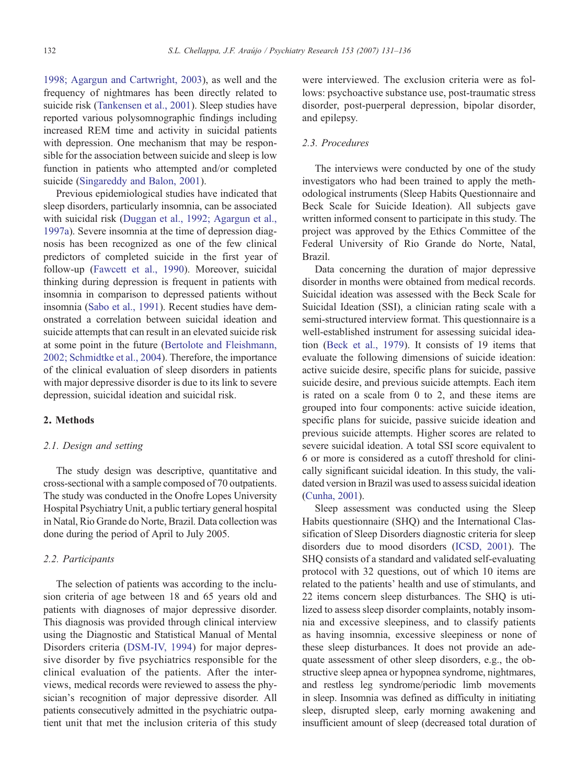[1998; Agargun and Cartwright, 2003\)](#page--1-0), as well and the frequency of nightmares has been directly related to suicide risk [\(Tankensen et al., 2001](#page--1-0)). Sleep studies have reported various polysomnographic findings including increased REM time and activity in suicidal patients with depression. One mechanism that may be responsible for the association between suicide and sleep is low function in patients who attempted and/or completed suicide [\(Singareddy and Balon, 2001\)](#page--1-0).

Previous epidemiological studies have indicated that sleep disorders, particularly insomnia, can be associated with suicidal risk ([Duggan et al., 1992; Agargun et al.,](#page--1-0) [1997a](#page--1-0)). Severe insomnia at the time of depression diagnosis has been recognized as one of the few clinical predictors of completed suicide in the first year of follow-up ([Fawcett et al., 1990](#page--1-0)). Moreover, suicidal thinking during depression is frequent in patients with insomnia in comparison to depressed patients without insomnia ([Sabo et al., 1991](#page--1-0)). Recent studies have demonstrated a correlation between suicidal ideation and suicide attempts that can result in an elevated suicide risk at some point in the future ([Bertolote and Fleishmann,](#page--1-0) [2002; Schmidtke et al., 2004](#page--1-0)). Therefore, the importance of the clinical evaluation of sleep disorders in patients with major depressive disorder is due to its link to severe depression, suicidal ideation and suicidal risk.

### 2. Methods

#### 2.1. Design and setting

The study design was descriptive, quantitative and cross-sectional with a sample composed of 70 outpatients. The study was conducted in the Onofre Lopes University Hospital Psychiatry Unit, a public tertiary general hospital in Natal, Rio Grande do Norte, Brazil. Data collection was done during the period of April to July 2005.

## 2.2. Participants

The selection of patients was according to the inclusion criteria of age between 18 and 65 years old and patients with diagnoses of major depressive disorder. This diagnosis was provided through clinical interview using the Diagnostic and Statistical Manual of Mental Disorders criteria ([DSM-IV, 1994](#page--1-0)) for major depressive disorder by five psychiatrics responsible for the clinical evaluation of the patients. After the interviews, medical records were reviewed to assess the physician's recognition of major depressive disorder. All patients consecutively admitted in the psychiatric outpatient unit that met the inclusion criteria of this study

were interviewed. The exclusion criteria were as follows: psychoactive substance use, post-traumatic stress disorder, post-puerperal depression, bipolar disorder, and epilepsy.

### 2.3. Procedures

The interviews were conducted by one of the study investigators who had been trained to apply the methodological instruments (Sleep Habits Questionnaire and Beck Scale for Suicide Ideation). All subjects gave written informed consent to participate in this study. The project was approved by the Ethics Committee of the Federal University of Rio Grande do Norte, Natal, Brazil.

Data concerning the duration of major depressive disorder in months were obtained from medical records. Suicidal ideation was assessed with the Beck Scale for Suicidal Ideation (SSI), a clinician rating scale with a semi-structured interview format. This questionnaire is a well-established instrument for assessing suicidal ideation [\(Beck et al., 1979\)](#page--1-0). It consists of 19 items that evaluate the following dimensions of suicide ideation: active suicide desire, specific plans for suicide, passive suicide desire, and previous suicide attempts. Each item is rated on a scale from 0 to 2, and these items are grouped into four components: active suicide ideation, specific plans for suicide, passive suicide ideation and previous suicide attempts. Higher scores are related to severe suicidal ideation. A total SSI score equivalent to 6 or more is considered as a cutoff threshold for clinically significant suicidal ideation. In this study, the validated version in Brazil was used to assess suicidal ideation [\(Cunha, 2001\)](#page--1-0).

Sleep assessment was conducted using the Sleep Habits questionnaire (SHQ) and the International Classification of Sleep Disorders diagnostic criteria for sleep disorders due to mood disorders [\(ICSD, 2001](#page--1-0)). The SHQ consists of a standard and validated self-evaluating protocol with 32 questions, out of which 10 items are related to the patients' health and use of stimulants, and 22 items concern sleep disturbances. The SHQ is utilized to assess sleep disorder complaints, notably insomnia and excessive sleepiness, and to classify patients as having insomnia, excessive sleepiness or none of these sleep disturbances. It does not provide an adequate assessment of other sleep disorders, e.g., the obstructive sleep apnea or hypopnea syndrome, nightmares, and restless leg syndrome/periodic limb movements in sleep. Insomnia was defined as difficulty in initiating sleep, disrupted sleep, early morning awakening and insufficient amount of sleep (decreased total duration of